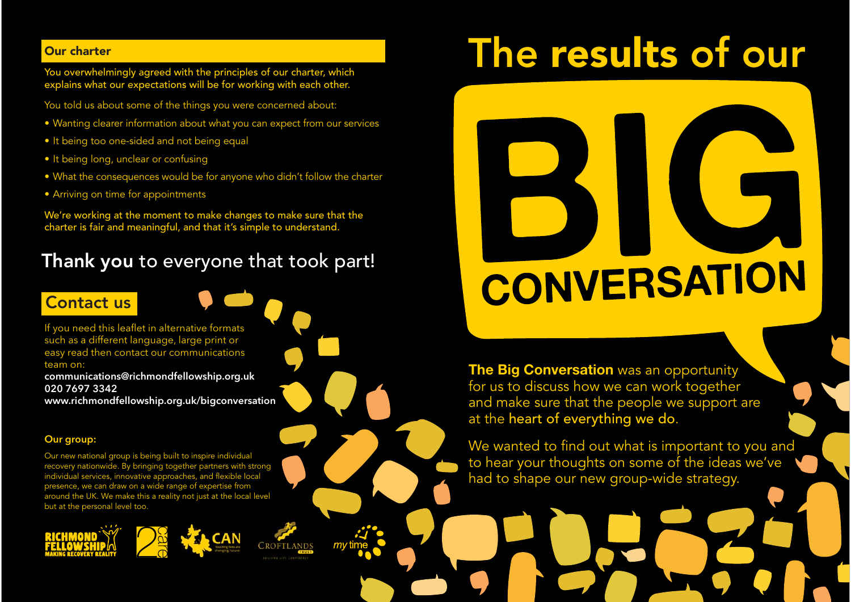#### Our charter

You overwhelmingly agreed with the principles of our charter, which explains what our expectations will be for working with each other.

You told us about some of the things you were concerned about:

- Wanting clearer information about what you can expect from our services
- It being too one-sided and not being equal
- It being long, unclear or confusing
- What the consequences would be for anyone who didn't follow the charter
- Arriving on time for appointments

We're working at the moment to make changes to make sure that the charter is fair and meaningful, and that it's simple to understand.

# Thank you to everyone that took part!

# Contact us

If you need this leaflet in alternative formats such as a different language, large print or easy read then contact our communications team on:

**communications@richmondfellowship.org.uk 020 7697 3342 www.richmondfellowship.org.uk/bigconversation**

#### **Our group:**

Our new national group is being built to inspire individual recovery nationwide. By bringing together partners with strong individual services, innovative approaches, and flexible local presence, we can draw on a wide range of expertise from around the UK. We make this a reality not just at the local level but at the personal level too.







# The results of our

# CONVERSATION

**The Big Conversation** was an opportunity for us to discuss how we can work together and make sure that the people we support are at the heart of everything we do.

We wanted to find out what is important to you and to hear your thoughts on some of the ideas we've had to shape our new group-wide strategy.